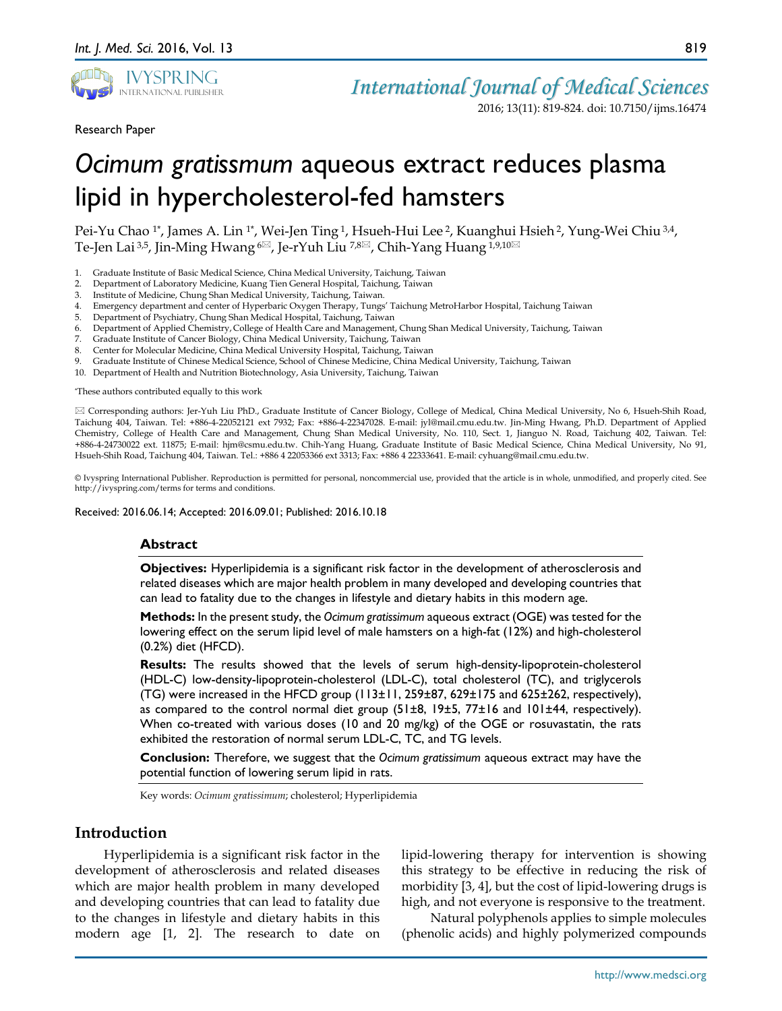

Research Paper

2016; 13(11): 819-824. doi: 10.7150/ijms.16474

# *Ocimum gratissmum* aqueous extract reduces plasma lipid in hypercholesterol-fed hamsters

Pei-Yu Chao <sup>1\*</sup>, James A. Lin <sup>1\*</sup>, Wei-Jen Ting <sup>1</sup>, Hsueh-Hui Lee <sup>2</sup>, Kuanghui Hsieh <sup>2</sup>, Yung-Wei Chiu <sup>3,4</sup>, Te-Jen Lai<sup>3,5</sup>, Jin-Ming Hwang <sup>6⊠</sup>, Je-rYuh Liu <sup>7,8⊠</sup>, Chih-Yang Huang <sup>1,9,10⊠</sup>

- 1. Graduate Institute of Basic Medical Science, China Medical University, Taichung, Taiwan
- 2. Department of Laboratory Medicine, Kuang Tien General Hospital, Taichung, Taiwan
- Institute of Medicine, Chung Shan Medical University, Taichung, Taiwan.
- 4. Emergency department and center of Hyperbaric Oxygen Therapy, Tungs' Taichung MetroHarbor Hospital, Taichung Taiwan
- 5. Department of Psychiatry, Chung Shan Medical Hospital, Taichung, Taiwan
- 6. Department of Applied Chemistry, College of Health Care and Management, Chung Shan Medical University, Taichung, Taiwan
- 7. Graduate Institute of Cancer Biology, China Medical University, Taichung, Taiwan
- 8. Center for Molecular Medicine, China Medical University Hospital, Taichung, Taiwan
- 9. Graduate Institute of Chinese Medical Science, School of Chinese Medicine, China Medical University, Taichung, Taiwan
- 10. Department of Health and Nutrition Biotechnology, Asia University, Taichung, Taiwan

\*These authors contributed equally to this work

 Corresponding authors: Jer-Yuh Liu PhD., Graduate Institute of Cancer Biology, College of Medical, China Medical University, No 6, Hsueh-Shih Road, Taichung 404, Taiwan. Tel: +886-4-22052121 ext 7932; Fax: +886-4-22347028. E-mail: jyl@mail.cmu.edu.tw. Jin-Ming Hwang, Ph.D. Department of Applied Chemistry, College of Health Care and Management, Chung Shan Medical University, No. 110, Sect. 1, Jianguo N. Road, Taichung 402, Taiwan. Tel: +886-4-24730022 ext. 11875; E-mail: hjm@csmu.edu.tw. Chih-Yang Huang, Graduate Institute of Basic Medical Science, China Medical University, No 91, Hsueh-Shih Road, Taichung 404, Taiwan. Tel.: +886 4 22053366 ext 3313; Fax: +886 4 22333641. E-mail: cyhuang@mail.cmu.edu.tw.

© Ivyspring International Publisher. Reproduction is permitted for personal, noncommercial use, provided that the article is in whole, unmodified, and properly cited. See http://ivyspring.com/terms for terms and conditions.

Received: 2016.06.14; Accepted: 2016.09.01; Published: 2016.10.18

#### **Abstract**

**Objectives:** Hyperlipidemia is a significant risk factor in the development of atherosclerosis and related diseases which are major health problem in many developed and developing countries that can lead to fatality due to the changes in lifestyle and dietary habits in this modern age.

**Methods:** In the present study, the *Ocimum gratissimum* aqueous extract (OGE) was tested for the lowering effect on the serum lipid level of male hamsters on a high-fat (12%) and high-cholesterol (0.2%) diet (HFCD).

**Results:** The results showed that the levels of serum high-density-lipoprotein-cholesterol (HDL-C) low-density-lipoprotein-cholesterol (LDL-C), total cholesterol (TC), and triglycerols (TG) were increased in the HFCD group  $(113\pm11, 259\pm87, 629\pm175, 2016\pm0.025)$  respectively), as compared to the control normal diet group (51±8, 19±5, 77±16 and 101±44, respectively). When co-treated with various doses (10 and 20 mg/kg) of the OGE or rosuvastatin, the rats exhibited the restoration of normal serum LDL-C, TC, and TG levels.

**Conclusion:** Therefore, we suggest that the *Ocimum gratissimum* aqueous extract may have the potential function of lowering serum lipid in rats.

Key words: *Ocimum gratissimum*; cholesterol; Hyperlipidemia

# **Introduction**

Hyperlipidemia is a significant risk factor in the development of atherosclerosis and related diseases which are major health problem in many developed and developing countries that can lead to fatality due to the changes in lifestyle and dietary habits in this modern age [1, 2]. The research to date on

lipid-lowering therapy for intervention is showing this strategy to be effective in reducing the risk of morbidity [3, 4], but the cost of lipid-lowering drugs is high, and not everyone is responsive to the treatment.

Natural polyphenols applies to simple molecules (phenolic acids) and highly polymerized compounds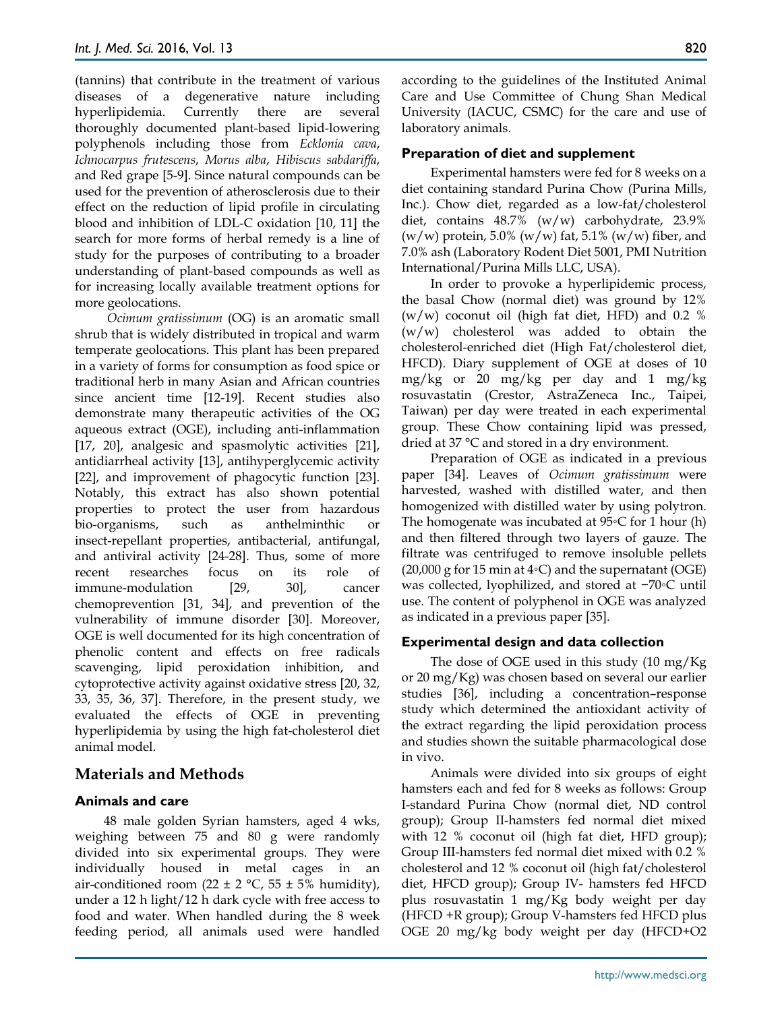(tannins) that contribute in the treatment of various diseases of a degenerative nature including hyperlipidemia. Currently there are several thoroughly documented plant-based lipid-lowering polyphenols including those from *Ecklonia cava*, *Ichnocarpus frutescens*, *Morus alba*, *Hibiscus sabdariffa*, and Red grape [5-9]. Since natural compounds can be used for the prevention of atherosclerosis due to their effect on the reduction of lipid profile in circulating blood and inhibition of LDL-C oxidation [10, 11] the search for more forms of herbal remedy is a line of study for the purposes of contributing to a broader understanding of plant-based compounds as well as for increasing locally available treatment options for more geolocations.

*Ocimum gratissimum* (OG) is an aromatic small shrub that is widely distributed in tropical and warm temperate geolocations. This plant has been prepared in a variety of forms for consumption as food spice or traditional herb in many Asian and African countries since ancient time [12-19]. Recent studies also demonstrate many therapeutic activities of the OG aqueous extract (OGE), including anti-inflammation [17, 20], analgesic and spasmolytic activities [21], antidiarrheal activity [13], antihyperglycemic activity [22], and improvement of phagocytic function [23]. Notably, this extract has also shown potential properties to protect the user from hazardous bio-organisms, such as anthelminthic insect-repellant properties, antibacterial, antifungal, and antiviral activity [24-28]. Thus, some of more recent researches focus on its role of immune-modulation [29, 30], cancer chemoprevention [31, 34], and prevention of the vulnerability of immune disorder [30]. Moreover, OGE is well documented for its high concentration of phenolic content and effects on free radicals scavenging, lipid peroxidation inhibition, and cytoprotective activity against oxidative stress [20, 32, 33, 35, 36, 37]. Therefore, in the present study, we evaluated the effects of OGE in preventing hyperlipidemia by using the high fat-cholesterol diet animal model.

# **Materials and Methods**

### **Animals and care**

48 male golden Syrian hamsters, aged 4 wks, weighing between 75 and 80 g were randomly divided into six experimental groups. They were individually housed in metal cages in an air-conditioned room (22  $\pm$  2 °C, 55  $\pm$  5% humidity), under a 12 h light/12 h dark cycle with free access to food and water. When handled during the 8 week feeding period, all animals used were handled

according to the guidelines of the Instituted Animal Care and Use Committee of Chung Shan Medical University (IACUC, CSMC) for the care and use of laboratory animals.

# **Preparation of diet and supplement**

Experimental hamsters were fed for 8 weeks on a diet containing standard Purina Chow (Purina Mills, Inc.). Chow diet, regarded as a low-fat/cholesterol diet, contains 48.7% (w/w) carbohydrate, 23.9%  $(w/w)$  protein, 5.0%  $(w/w)$  fat, 5.1%  $(w/w)$  fiber, and 7.0% ash (Laboratory Rodent Diet 5001, PMI Nutrition International/Purina Mills LLC, USA).

In order to provoke a hyperlipidemic process, the basal Chow (normal diet) was ground by 12%  $(w/w)$  coconut oil (high fat diet, HFD) and 0.2 % (w/w) cholesterol was added to obtain the cholesterol-enriched diet (High Fat/cholesterol diet, HFCD). Diary supplement of OGE at doses of 10 mg/kg or 20 mg/kg per day and 1 mg/kg rosuvastatin (Crestor, AstraZeneca Inc., Taipei, Taiwan) per day were treated in each experimental group. These Chow containing lipid was pressed, dried at 37 °C and stored in a dry environment.

Preparation of OGE as indicated in a previous paper [34]. Leaves of *Ocimum gratissimum* were harvested, washed with distilled water, and then homogenized with distilled water by using polytron. The homogenate was incubated at 95◦C for 1 hour (h) and then filtered through two layers of gauze. The filtrate was centrifuged to remove insoluble pellets  $(20,000 \text{ g}$  for 15 min at 4◦C) and the supernatant (OGE) was collected, lyophilized, and stored at −70◦C until use. The content of polyphenol in OGE was analyzed as indicated in a previous paper [35].

### **Experimental design and data collection**

The dose of OGE used in this study (10 mg/Kg or 20 mg/Kg) was chosen based on several our earlier studies [36], including a concentration–response study which determined the antioxidant activity of the extract regarding the lipid peroxidation process and studies shown the suitable pharmacological dose in vivo.

Animals were divided into six groups of eight hamsters each and fed for 8 weeks as follows: Group I-standard Purina Chow (normal diet, ND control group); Group II-hamsters fed normal diet mixed with 12 % coconut oil (high fat diet, HFD group); Group III-hamsters fed normal diet mixed with 0.2 % cholesterol and 12 % coconut oil (high fat/cholesterol diet, HFCD group); Group IV- hamsters fed HFCD plus rosuvastatin 1 mg/Kg body weight per day (HFCD +R group); Group V-hamsters fed HFCD plus OGE 20 mg/kg body weight per day (HFCD+O2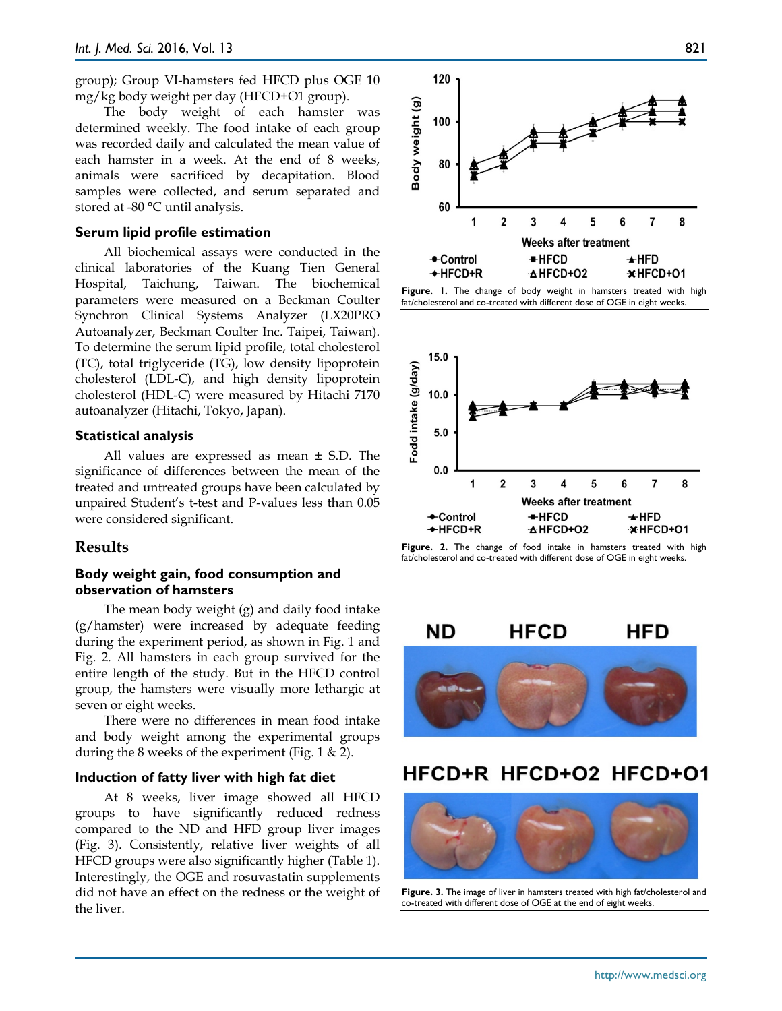group); Group VI-hamsters fed HFCD plus OGE 10 mg/kg body weight per day (HFCD+O1 group).

The body weight of each hamster was determined weekly. The food intake of each group was recorded daily and calculated the mean value of each hamster in a week. At the end of 8 weeks, animals were sacrificed by decapitation. Blood samples were collected, and serum separated and stored at -80 °C until analysis.

#### **Serum lipid profile estimation**

All biochemical assays were conducted in the clinical laboratories of the Kuang Tien General Hospital, Taichung, Taiwan. The biochemical parameters were measured on a Beckman Coulter Synchron Clinical Systems Analyzer (LX20PRO Autoanalyzer, Beckman Coulter Inc. Taipei, Taiwan). To determine the serum lipid profile, total cholesterol (TC), total triglyceride (TG), low density lipoprotein cholesterol (LDL-C), and high density lipoprotein cholesterol (HDL-C) were measured by Hitachi 7170 autoanalyzer (Hitachi, Tokyo, Japan).

#### **Statistical analysis**

All values are expressed as mean ± S.D. The significance of differences between the mean of the treated and untreated groups have been calculated by unpaired Student's t-test and P-values less than 0.05 were considered significant.

# **Results**

# **Body weight gain, food consumption and observation of hamsters**

The mean body weight (g) and daily food intake (g/hamster) were increased by adequate feeding during the experiment period, as shown in Fig. 1 and Fig. 2. All hamsters in each group survived for the entire length of the study. But in the HFCD control group, the hamsters were visually more lethargic at seven or eight weeks.

There were no differences in mean food intake and body weight among the experimental groups during the 8 weeks of the experiment (Fig.  $1 \& 2$ ).

# **Induction of fatty liver with high fat diet**

At 8 weeks, liver image showed all HFCD groups to have significantly reduced redness compared to the ND and HFD group liver images (Fig. 3). Consistently, relative liver weights of all HFCD groups were also significantly higher (Table 1). Interestingly, the OGE and rosuvastatin supplements did not have an effect on the redness or the weight of the liver.







**Figure. 2.** The change of food intake in hamsters treated with high fat/cholesterol and co-treated with different dose of OGE in eight weeks.



# HFCD+R HFCD+O2 HFCD+O1



**Figure. 3.** The image of liver in hamsters treated with high fat/cholesterol and co-treated with different dose of OGE at the end of eight weeks.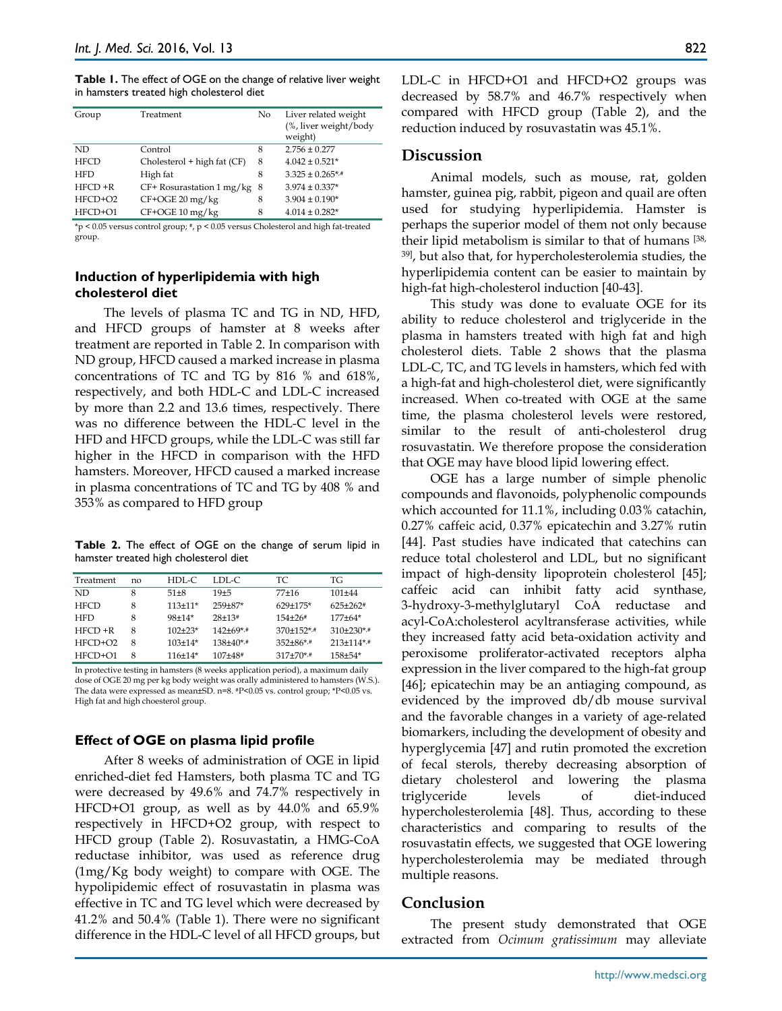**Table 1.** The effect of OGE on the change of relative liver weight in hamsters treated high cholesterol diet

| Group       | Treatment                   | No | Liver related weight<br>(%, liver weight/body<br>weight) |
|-------------|-----------------------------|----|----------------------------------------------------------|
| ND.         | Control                     | 8  | $2.756 \pm 0.277$                                        |
| <b>HFCD</b> | Cholesterol + high fat (CF) | 8  | $4.042 \pm 0.521*$                                       |
| <b>HFD</b>  | High fat                    | 8  | $3.325 \pm 0.265$ */*                                    |
| $HFCD + R$  | $CF+ Rosurastation 1 mg/kg$ | 8  | $3.974 \pm 0.337*$                                       |
| HFCD+O2     | $CF+OGE 20$ mg/kg           | 8  | $3.904 \pm 0.190*$                                       |
| HFCD+O1     | CF+OGE 10 mg/kg             | 8  | $4.014 \pm 0.282$ *                                      |

\*p < 0.05 versus control group; #, p < 0.05 versus Cholesterol and high fat-treated group.

# **Induction of hyperlipidemia with high cholesterol diet**

The levels of plasma TC and TG in ND, HFD, and HFCD groups of hamster at 8 weeks after treatment are reported in Table 2. In comparison with ND group, HFCD caused a marked increase in plasma concentrations of TC and TG by 816 % and 618%, respectively, and both HDL-C and LDL-C increased by more than 2.2 and 13.6 times, respectively. There was no difference between the HDL-C level in the HFD and HFCD groups, while the LDL-C was still far higher in the HFCD in comparison with the HFD hamsters. Moreover, HFCD caused a marked increase in plasma concentrations of TC and TG by 408 % and 353% as compared to HFD group

**Table 2.** The effect of OGE on the change of serum lipid in hamster treated high cholesterol diet

| Treatment   | no | HDL-C     | LDL-C.       | TC.            | TG              |
|-------------|----|-----------|--------------|----------------|-----------------|
| ND.         | 8  | $51 + 8$  | $19 + 5$     | $77+16$        | $101 + 44$      |
| <b>HFCD</b> | 8  | $113+11*$ | $259 + 87*$  | $629+175*$     | $625+262$ #     |
| <b>HFD</b>  | 8  | $98+14*$  | $28+13*$     | 154+26#        | $177+64*$       |
| $HFCD + R$  | 8  | $102+23*$ | $142+69$ *,# | $370+152$ *,#  | $310\pm230$ *,# |
| $HFCD+O2$   | 8  | $103+14*$ | $138+40$ *,# | $352 + 86$ *,# | $213+114$ *,#   |
| $HFCD+O1$   | 8  | 116±14*   | $107 + 48$ # | $317+70$ *,#   | $158 + 54*$     |

In protective testing in hamsters (8 weeks application period), a maximum daily dose of OGE 20 mg per kg body weight was orally administered to hamsters (W.S.). The data were expressed as mean±SD. n=8. #P<0.05 vs. control group; \*P<0.05 vs. High fat and high choesterol group.

### **Effect of OGE on plasma lipid profile**

After 8 weeks of administration of OGE in lipid enriched-diet fed Hamsters, both plasma TC and TG were decreased by 49.6% and 74.7% respectively in HFCD+O1 group, as well as by 44.0% and 65.9% respectively in HFCD+O2 group, with respect to HFCD group (Table 2). Rosuvastatin, a HMG-CoA reductase inhibitor, was used as reference drug (1mg/Kg body weight) to compare with OGE. The hypolipidemic effect of rosuvastatin in plasma was effective in TC and TG level which were decreased by 41.2% and 50.4% (Table 1). There were no significant difference in the HDL-C level of all HFCD groups, but

LDL-C in HFCD+O1 and HFCD+O2 groups was decreased by 58.7% and 46.7% respectively when compared with HFCD group (Table 2), and the reduction induced by rosuvastatin was 45.1%.

# **Discussion**

Animal models, such as mouse, rat, golden hamster, guinea pig, rabbit, pigeon and quail are often used for studying hyperlipidemia. Hamster is perhaps the superior model of them not only because their lipid metabolism is similar to that of humans [38, 39], but also that, for hypercholesterolemia studies, the hyperlipidemia content can be easier to maintain by high-fat high-cholesterol induction [40-43].

This study was done to evaluate OGE for its ability to reduce cholesterol and triglyceride in the plasma in hamsters treated with high fat and high cholesterol diets. Table 2 shows that the plasma LDL-C, TC, and TG levels in hamsters, which fed with a high-fat and high-cholesterol diet, were significantly increased. When co-treated with OGE at the same time, the plasma cholesterol levels were restored, similar to the result of anti-cholesterol drug rosuvastatin. We therefore propose the consideration that OGE may have blood lipid lowering effect.

OGE has a large number of simple phenolic compounds and flavonoids, polyphenolic compounds which accounted for 11.1%, including 0.03% catachin, 0.27% caffeic acid, 0.37% epicatechin and 3.27% rutin [44]. Past studies have indicated that catechins can reduce total cholesterol and LDL, but no significant impact of high-density lipoprotein cholesterol [45]; caffeic acid can inhibit fatty acid synthase, 3-hydroxy-3-methylglutaryl CoA reductase and acyl-CoA:cholesterol acyltransferase activities, while they increased fatty acid beta-oxidation activity and peroxisome proliferator-activated receptors alpha expression in the liver compared to the high-fat group [46]; epicatechin may be an antiaging compound, as evidenced by the improved db/db mouse survival and the favorable changes in a variety of age-related biomarkers, including the development of obesity and hyperglycemia [47] and rutin promoted the excretion of fecal sterols, thereby decreasing absorption of dietary cholesterol and lowering the plasma triglyceride levels of diet-induced hypercholesterolemia [48]. Thus, according to these characteristics and comparing to results of the rosuvastatin effects, we suggested that OGE lowering hypercholesterolemia may be mediated through multiple reasons.

# **Conclusion**

The present study demonstrated that OGE extracted from *Ocimum gratissimum* may alleviate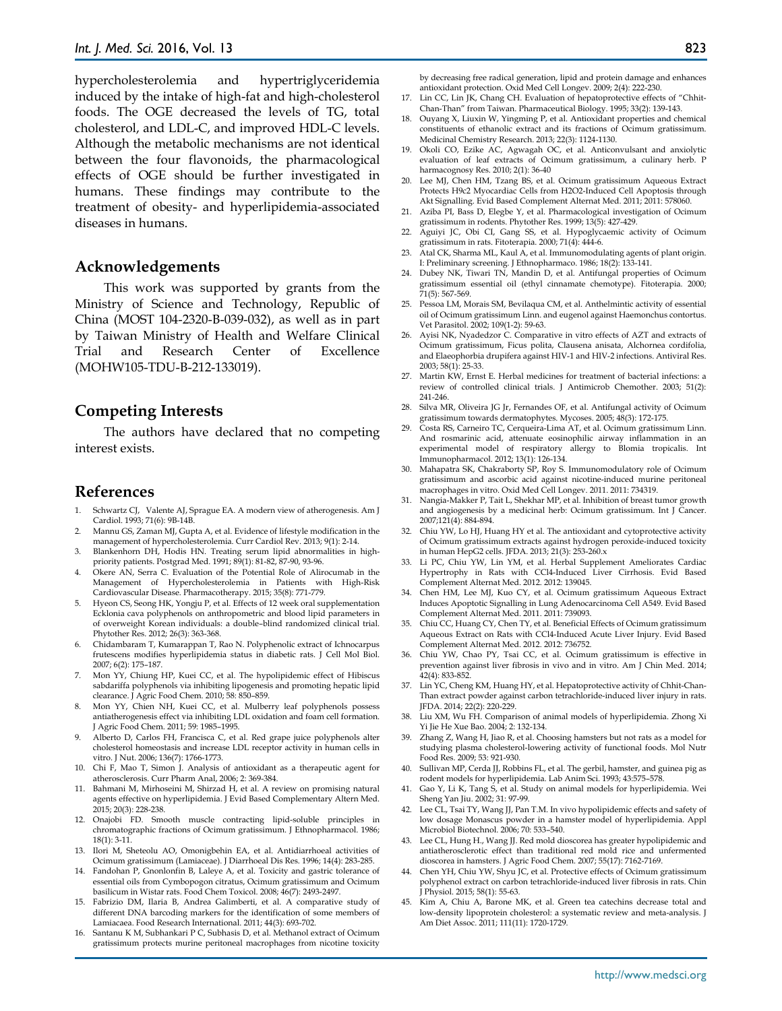hypercholesterolemia and hypertriglyceridemia induced by the intake of high-fat and high-cholesterol foods. The OGE decreased the levels of TG, total cholesterol, and LDL-C, and improved HDL-C levels. Although the metabolic mechanisms are not identical between the four flavonoids, the pharmacological effects of OGE should be further investigated in humans. These findings may contribute to the treatment of obesity- and hyperlipidemia-associated diseases in humans.

#### **Acknowledgements**

This work was supported by grants from the Ministry of Science and Technology, Republic of China (MOST 104-2320-B-039-032), as well as in part by Taiwan Ministry of Health and Welfare Clinical Trial and Research Center of Excellence (MOHW105-TDU-B-212-133019).

# **Competing Interests**

The authors have declared that no competing interest exists.

### **References**

- Schwartz CJ, Valente AJ, Sprague EA. A modern view of atherogenesis. Am J Cardiol. 1993; 71(6): 9B-14B.
- 2. Mannu GS, Zaman MJ, Gupta A, et al. Evidence of lifestyle modification in the management of hypercholesterolemia. Curr Cardiol Rev. 2013; 9(1): 2-14.
- 3. Blankenhorn DH, Hodis HN. Treating serum lipid abnormalities in highpriority patients. Postgrad Med. 1991; 89(1): 81-82, 87-90, 93-96.
- Okere AN, Serra C. Evaluation of the Potential Role of Alirocumab in the Management of Hypercholesterolemia in Patients with High-Risk Cardiovascular Disease. Pharmacotherapy. 2015; 35(8): 771-779.
- Hyeon CS, Seong HK, Yongju P, et al. Effects of 12 week oral supplementation Ecklonia cava polyphenols on anthropometric and blood lipid parameters in of overweight Korean individuals: a double–blind randomized clinical trial. Phytother Res. 2012; 26(3): 363-368.
- 6. Chidambaram T, Kumarappan T, Rao N. Polyphenolic extract of Ichnocarpus frutescens modifies hyperlipidemia status in diabetic rats. J Cell Mol Biol. 2007; 6(2): 175–187.
- 7. Mon YY, Chiung HP, Kuei CC, et al. The hypolipidemic effect of Hibiscus sabdariffa polyphenols via inhibiting lipogenesis and promoting hepatic lipid clearance. J Agric Food Chem. 2010; 58: 850–859.
- 8. Mon YY, Chien NH, Kuei CC, et al. Mulberry leaf polyphenols possess antiatherogenesis effect via inhibiting LDL oxidation and foam cell formation. J Agric Food Chem. 2011; 59: 1985–1995.
- Alberto D, Carlos FH, Francisca C, et al. Red grape juice polyphenols alter cholesterol homeostasis and increase LDL receptor activity in human cells in vitro. J Nut. 2006; 136(7): 1766-1773.
- 10. Chi F, Mao T, Simon J. Analysis of antioxidant as a therapeutic agent for atherosclerosis. Curr Pharm Anal, 2006; 2: 369-384.
- 11. Bahmani M, Mirhoseini M, Shirzad H, et al. A review on promising natural agents effective on hyperlipidemia. J Evid Based Complementary Altern Med. 2015; 20(3): 228-238.
- 12. Onajobi FD. Smooth muscle contracting lipid-soluble principles in chromatographic fractions of Ocimum gratissimum. J Ethnopharmacol. 1986; 18(1): 3-11.
- 13. Ilori M, Sheteolu AO, Omonigbehin EA, et al. Antidiarrhoeal activities of Ocimum gratissimum (Lamiaceae). J Diarrhoeal Dis Res. 1996; 14(4): 283-285.
- 14. Fandohan P, Gnonlonfin B, Laleye A, et al. Toxicity and gastric tolerance of essential oils from Cymbopogon citratus, Ocimum gratissimum and Ocimum basilicum in Wistar rats. Food Chem Toxicol. 2008; 46(7): 2493-2497.
- 15. Fabrizio DM, Ilaria B, Andrea Galimberti, et al. A comparative study of different DNA barcoding markers for the identification of some members of Lamiacaea. Food Research International. 2011; 44(3): 693-702.
- 16. Santanu K M, Subhankari P C, Subhasis D, et al. Methanol extract of Ocimum gratissimum protects murine peritoneal macrophages from nicotine toxicity

by decreasing free radical generation, lipid and protein damage and enhances antioxidant protection. Oxid Med Cell Longev. 2009; 2(4): 222-230.

- 17. Lin CC, Lin JK, Chang CH. Evaluation of hepatoprotective effects of "Chhit-Chan-Than" from Taiwan. Pharmaceutical Biology. 1995; 33(2): 139-143.
- 18. Ouyang X, Liuxin W, Yingming P, et al. Antioxidant properties and chemical constituents of ethanolic extract and its fractions of Ocimum gratissimum. Medicinal Chemistry Research. 2013; 22(3): 1124-1130.
- 19. Okoli CO, Ezike AC, Agwagah OC, et al. Anticonvulsant and anxiolytic evaluation of leaf extracts of Ocimum gratissimum, a culinary herb. P harmacognosy Res. 2010; 2(1): 36-40
- 20. Lee MJ, Chen HM, Tzang BS, et al. Ocimum gratissimum Aqueous Extract Protects H9c2 Myocardiac Cells from H2O2-Induced Cell Apoptosis through Akt Signalling. Evid Based Complement Alternat Med. 2011; 2011: 578060.
- 21. Aziba PI, Bass D, Elegbe Y, et al. Pharmacological investigation of Ocimum gratissimum in rodents. Phytother Res. 1999; 13(5): 427-429.
- 22. Aguiyi JC, Obi CI, Gang SS, et al. Hypoglycaemic activity of Ocimum gratissimum in rats. Fitoterapia. 2000; 71(4): 444-6.
- 23. Atal CK, Sharma ML, Kaul A, et al. Immunomodulating agents of plant origin. I: Preliminary screening. J Ethnopharmaco. 1986; 18(2): 133-141.
- 24. Dubey NK, Tiwari TN, Mandin D, et al. Antifungal properties of Ocimum gratissimum essential oil (ethyl cinnamate chemotype). Fitoterapia. 2000; 71(5): 567-569.
- 25. Pessoa LM, Morais SM, Bevilaqua CM, et al. Anthelmintic activity of essential oil of Ocimum gratissimum Linn. and eugenol against Haemonchus contortus. Vet Parasitol. 2002; 109(1-2): 59-63.
- 26. Ayisi NK, Nyadedzor C. Comparative in vitro effects of AZT and extracts of Ocimum gratissimum, Ficus polita, Clausena anisata, Alchornea cordifolia, and Elaeophorbia drupifera against HIV-1 and HIV-2 infections. Antiviral Res. 2003; 58(1): 25-33.
- 27. Martin KW, Ernst E. Herbal medicines for treatment of bacterial infections: a review of controlled clinical trials. J Antimicrob Chemother. 2003; 51(2): 241-246.
- 28. Silva MR, Oliveira JG Jr, Fernandes OF, et al. Antifungal activity of Ocimum gratissimum towards dermatophytes. Mycoses. 2005; 48(3): 172-175.
- 29. Costa RS, Carneiro TC, Cerqueira-Lima AT, et al. Ocimum gratissimum Linn. And rosmarinic acid, attenuate eosinophilic airway inflammation in an experimental model of respiratory allergy to Blomia tropicalis. Int Immunopharmacol. 2012; 13(1): 126-134.
- 30. Mahapatra SK, Chakraborty SP, Roy S. Immunomodulatory role of Ocimum gratissimum and ascorbic acid against nicotine-induced murine peritoneal macrophages in vitro. Oxid Med Cell Longev. 2011. 2011: 734319.
- 31. Nangia-Makker P, Tait L, Shekhar MP, et al. Inhibition of breast tumor growth and angiogenesis by a medicinal herb: Ocimum gratissimum. Int J Cancer. 2007;121(4): 884-894.
- 32. Chiu YW, Lo HJ, Huang HY et al. The antioxidant and cytoprotective activity of Ocimum gratissimum extracts against hydrogen peroxide-induced toxicity in human HepG2 cells. JFDA. 2013; 21(3): 253-260.x
- 33. Li PC, Chiu YW, Lin YM, et al. Herbal Supplement Ameliorates Cardiac Hypertrophy in Rats with CCl4-Induced Liver Cirrhosis. Evid Based Complement Alternat Med. 2012. 2012: 139045.
- 34. Chen HM, Lee MJ, Kuo CY, et al. Ocimum gratissimum Aqueous Extract Induces Apoptotic Signalling in Lung Adenocarcinoma Cell A549. Evid Based Complement Alternat Med. 2011. 2011: 739093.
- 35. Chiu CC, Huang CY, Chen TY, et al. Beneficial Effects of Ocimum gratissimum Aqueous Extract on Rats with CCl4-Induced Acute Liver Injury. Evid Based Complement Alternat Med. 2012. 2012: 736752.
- 36. Chiu YW, Chao PY, Tsai CC, et al. Ocimum gratissimum is effective in prevention against liver fibrosis in vivo and in vitro. Am J Chin Med. 2014; 42(4): 833-852.
- 37. Lin YC, Cheng KM, Huang HY, et al. Hepatoprotective activity of Chhit-Chan-Than extract powder against carbon tetrachloride-induced liver injury in rats. JFDA. 2014; 22(2): 220-229.
- 38. Liu XM, Wu FH. Comparison of animal models of hyperlipidemia. Zhong Xi Yi Jie He Xue Bao. 2004; 2: 132-134.
- 39. Zhang Z, Wang H, Jiao R, et al. Choosing hamsters but not rats as a model for studying plasma cholesterol-lowering activity of functional foods. Mol Nutr Food Res. 2009; 53: 921-930.
- 40. Sullivan MP, Cerda JJ, Robbins FL, et al. The gerbil, hamster, and guinea pig as rodent models for hyperlipidemia. Lab Anim Sci. 1993; 43:575–578.
- 41. Gao Y, Li K, Tang S, et al. Study on animal models for hyperlipidemia. Wei Sheng Yan Jiu. 2002; 31: 97-99.
- 42. Lee CL, Tsai TY, Wang JJ, Pan T.M. In vivo hypolipidemic effects and safety of low dosage Monascus powder in a hamster model of hyperlipidemia. Appl Microbiol Biotechnol. 2006; 70: 533–540.
- 43. Lee CL, Hung H., Wang JJ. Red mold dioscorea has greater hypolipidemic and antiatherosclerotic effect than traditional red mold rice and unfermented dioscorea in hamsters. J Agric Food Chem. 2007; 55(17): 7162-7169.
- 44. Chen YH, Chiu YW, Shyu JC, et al. Protective effects of Ocimum gratissimum polyphenol extract on carbon tetrachloride-induced liver fibrosis in rats. Chin J Physiol. 2015; 58(1): 55-63.
- 45. Kim A, Chiu A, Barone MK, et al. Green tea catechins decrease total and low-density lipoprotein cholesterol: a systematic review and meta-analysis. J Am Diet Assoc. 2011; 111(11): 1720-1729.